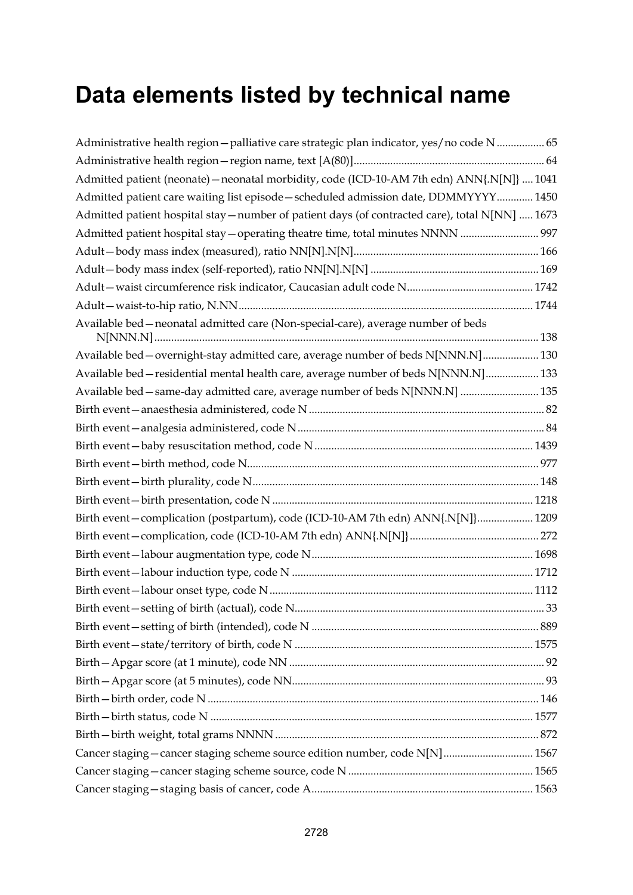## **Data elements listed by technical name**

| Administrative health region - palliative care strategic plan indicator, yes/no code N  65      |  |
|-------------------------------------------------------------------------------------------------|--|
|                                                                                                 |  |
| Admitted patient (neonate) - neonatal morbidity, code (ICD-10-AM 7th edn) ANN{.N[N]}  1041      |  |
| Admitted patient care waiting list episode - scheduled admission date, DDMMYYYY 1450            |  |
| Admitted patient hospital stay - number of patient days (of contracted care), total N[NN]  1673 |  |
| Admitted patient hospital stay - operating theatre time, total minutes NNNN  997                |  |
|                                                                                                 |  |
|                                                                                                 |  |
|                                                                                                 |  |
|                                                                                                 |  |
| Available bed - neonatal admitted care (Non-special-care), average number of beds               |  |
| Available bed - overnight-stay admitted care, average number of beds N[NNN.N] 130               |  |
| Available bed - residential mental health care, average number of beds N[NNN.N] 133             |  |
| Available bed - same-day admitted care, average number of beds N[NNN.N]  135                    |  |
|                                                                                                 |  |
|                                                                                                 |  |
|                                                                                                 |  |
|                                                                                                 |  |
|                                                                                                 |  |
|                                                                                                 |  |
| Birth event - complication (postpartum), code (ICD-10-AM 7th edn) ANN{.N[N]} 1209               |  |
|                                                                                                 |  |
|                                                                                                 |  |
|                                                                                                 |  |
|                                                                                                 |  |
|                                                                                                 |  |
|                                                                                                 |  |
|                                                                                                 |  |
|                                                                                                 |  |
|                                                                                                 |  |
|                                                                                                 |  |
|                                                                                                 |  |
|                                                                                                 |  |
| Cancer staging - cancer staging scheme source edition number, code N[N]  1567                   |  |
|                                                                                                 |  |
|                                                                                                 |  |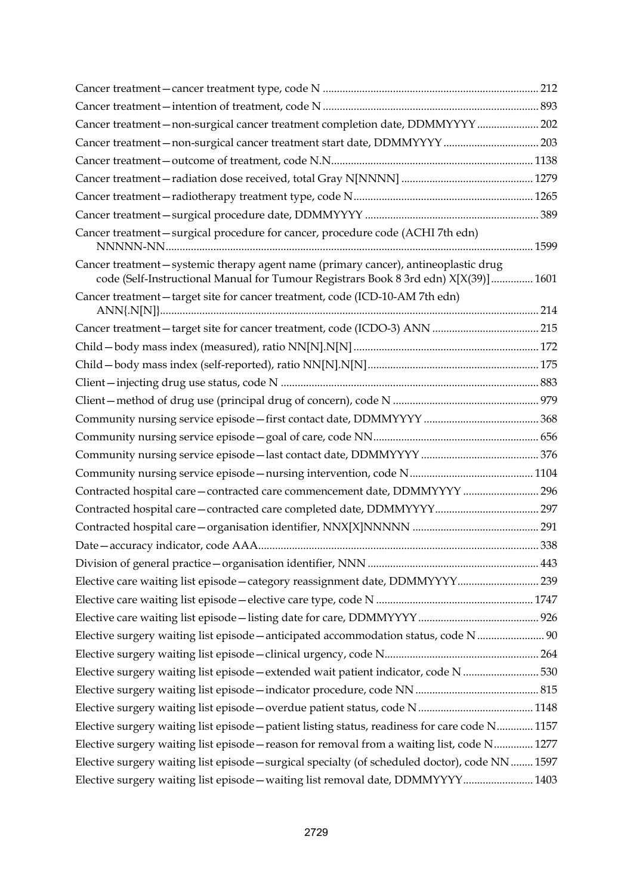| Cancer treatment-non-surgical cancer treatment completion date, DDMMYYYY  202                                                                                                |  |
|------------------------------------------------------------------------------------------------------------------------------------------------------------------------------|--|
|                                                                                                                                                                              |  |
|                                                                                                                                                                              |  |
|                                                                                                                                                                              |  |
|                                                                                                                                                                              |  |
|                                                                                                                                                                              |  |
| Cancer treatment - surgical procedure for cancer, procedure code (ACHI 7th edn)                                                                                              |  |
| Cancer treatment - systemic therapy agent name (primary cancer), antineoplastic drug<br>code (Self-Instructional Manual for Tumour Registrars Book 8 3rd edn) X[X(39)]  1601 |  |
| Cancer treatment - target site for cancer treatment, code (ICD-10-AM 7th edn)                                                                                                |  |
|                                                                                                                                                                              |  |
|                                                                                                                                                                              |  |
|                                                                                                                                                                              |  |
|                                                                                                                                                                              |  |
|                                                                                                                                                                              |  |
|                                                                                                                                                                              |  |
|                                                                                                                                                                              |  |
|                                                                                                                                                                              |  |
|                                                                                                                                                                              |  |
| Contracted hospital care-contracted care commencement date, DDMMYYYY  296                                                                                                    |  |
|                                                                                                                                                                              |  |
|                                                                                                                                                                              |  |
|                                                                                                                                                                              |  |
|                                                                                                                                                                              |  |
| Elective care waiting list episode - category reassignment date, DDMMYYYY 239                                                                                                |  |
|                                                                                                                                                                              |  |
|                                                                                                                                                                              |  |
| Elective surgery waiting list episode - anticipated accommodation status, code N  90                                                                                         |  |
|                                                                                                                                                                              |  |
| Elective surgery waiting list episode - extended wait patient indicator, code N  530                                                                                         |  |
|                                                                                                                                                                              |  |
|                                                                                                                                                                              |  |
| Elective surgery waiting list episode - patient listing status, readiness for care code N 1157                                                                               |  |
| Elective surgery waiting list episode - reason for removal from a waiting list, code N 1277                                                                                  |  |
| Elective surgery waiting list episode - surgical specialty (of scheduled doctor), code NN  1597                                                                              |  |
| Elective surgery waiting list episode - waiting list removal date, DDMMYYYY 1403                                                                                             |  |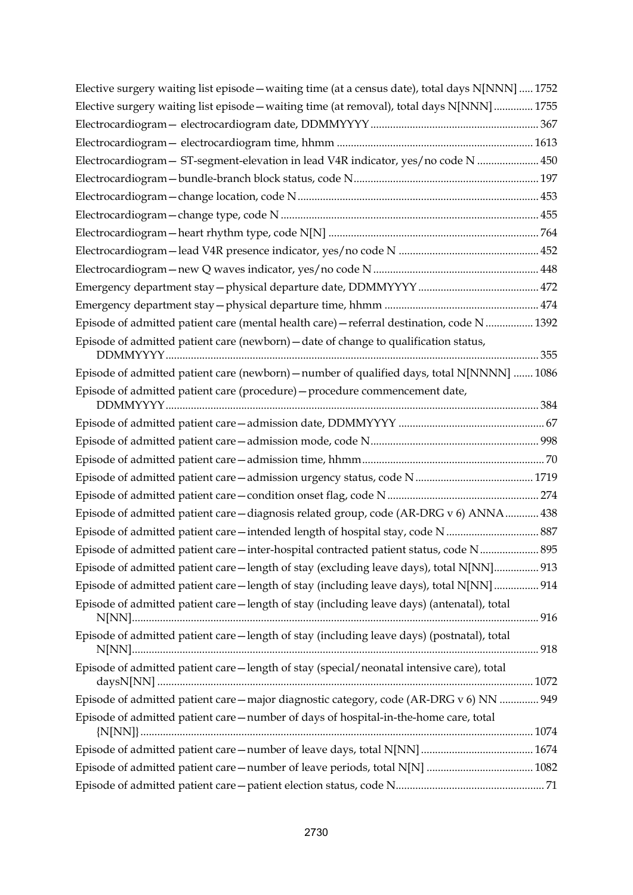| Elective surgery waiting list episode - waiting time (at a census date), total days N[NNN]  1752 |  |
|--------------------------------------------------------------------------------------------------|--|
| Elective surgery waiting list episode - waiting time (at removal), total days N[NNN]  1755       |  |
|                                                                                                  |  |
|                                                                                                  |  |
| Electrocardiogram - ST-segment-elevation in lead V4R indicator, yes/no code N  450               |  |
|                                                                                                  |  |
|                                                                                                  |  |
|                                                                                                  |  |
|                                                                                                  |  |
|                                                                                                  |  |
|                                                                                                  |  |
|                                                                                                  |  |
|                                                                                                  |  |
| Episode of admitted patient care (mental health care) - referral destination, code N  1392       |  |
| Episode of admitted patient care (newborn) - date of change to qualification status,             |  |
| Episode of admitted patient care (newborn) - number of qualified days, total N[NNNN]  1086       |  |
| Episode of admitted patient care (procedure) - procedure commencement date,                      |  |
|                                                                                                  |  |
|                                                                                                  |  |
|                                                                                                  |  |
|                                                                                                  |  |
|                                                                                                  |  |
| Episode of admitted patient care - diagnosis related group, code (AR-DRG v 6) ANNA 438           |  |
| Episode of admitted patient care - intended length of hospital stay, code N  887                 |  |
| Episode of admitted patient care - inter-hospital contracted patient status, code N 895          |  |
| Episode of admitted patient care—length of stay (excluding leave days), total N[NN] 913          |  |
| Episode of admitted patient care - length of stay (including leave days), total N[NN]  914       |  |
| Episode of admitted patient care-length of stay (including leave days) (antenatal), total        |  |
| Episode of admitted patient care-length of stay (including leave days) (postnatal), total        |  |
| Episode of admitted patient care - length of stay (special/neonatal intensive care), total       |  |
| Episode of admitted patient care - major diagnostic category, code (AR-DRG v 6) NN  949          |  |
| Episode of admitted patient care-number of days of hospital-in-the-home care, total              |  |
|                                                                                                  |  |
|                                                                                                  |  |
|                                                                                                  |  |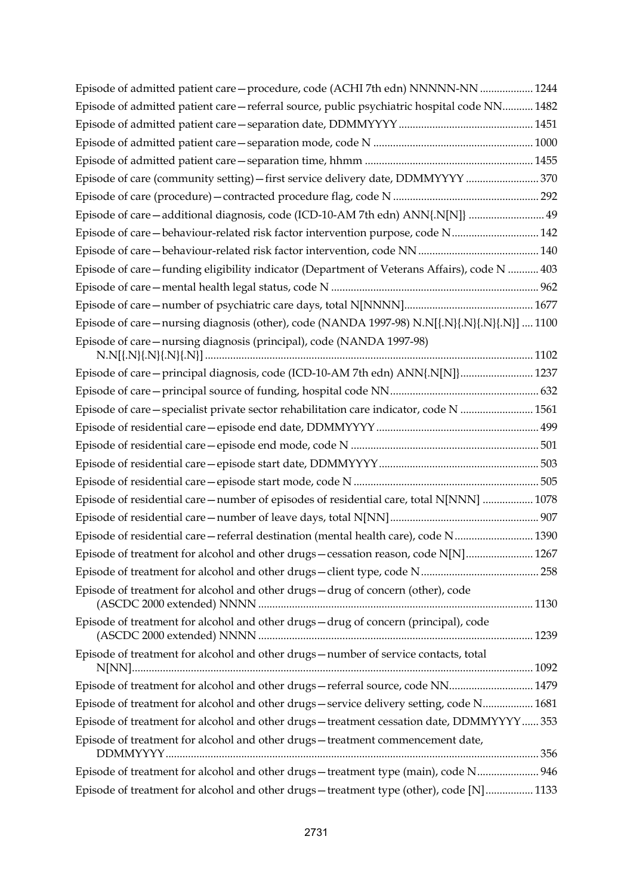| Episode of admitted patient care - procedure, code (ACHI 7th edn) NNNNN-NN  1244             |  |
|----------------------------------------------------------------------------------------------|--|
| Episode of admitted patient care - referral source, public psychiatric hospital code NN 1482 |  |
|                                                                                              |  |
|                                                                                              |  |
|                                                                                              |  |
| Episode of care (community setting) - first service delivery date, DDMMYYYY  370             |  |
|                                                                                              |  |
| Episode of care-additional diagnosis, code (ICD-10-AM 7th edn) ANN{.N[N]}  49                |  |
| Episode of care-behaviour-related risk factor intervention purpose, code N 142               |  |
|                                                                                              |  |
| Episode of care-funding eligibility indicator (Department of Veterans Affairs), code N  403  |  |
|                                                                                              |  |
|                                                                                              |  |
| Episode of care-nursing diagnosis (other), code (NANDA 1997-98) N.N[{.N}{.N}{.N}{.N}]  1100  |  |
| Episode of care-nursing diagnosis (principal), code (NANDA 1997-98)                          |  |
|                                                                                              |  |
| Episode of care-principal diagnosis, code (ICD-10-AM 7th edn) ANN{.N[N]} 1237                |  |
|                                                                                              |  |
| Episode of care - specialist private sector rehabilitation care indicator, code N  1561      |  |
|                                                                                              |  |
|                                                                                              |  |
|                                                                                              |  |
|                                                                                              |  |
| Episode of residential care - number of episodes of residential care, total N[NNN]  1078     |  |
|                                                                                              |  |
| Episode of residential care - referral destination (mental health care), code N 1390         |  |
| Episode of treatment for alcohol and other drugs - cessation reason, code N[N] 1267          |  |
|                                                                                              |  |
| Episode of treatment for alcohol and other drugs-drug of concern (other), code               |  |
|                                                                                              |  |
| Episode of treatment for alcohol and other drugs-drug of concern (principal), code           |  |
| Episode of treatment for alcohol and other drugs-number of service contacts, total           |  |
|                                                                                              |  |
| Episode of treatment for alcohol and other drugs-referral source, code NN 1479               |  |
| Episode of treatment for alcohol and other drugs-service delivery setting, code N 1681       |  |
| Episode of treatment for alcohol and other drugs - treatment cessation date, DDMMYYYY353     |  |
| Episode of treatment for alcohol and other drugs-treatment commencement date,                |  |
| Episode of treatment for alcohol and other drugs-treatment type (main), code N 946           |  |
|                                                                                              |  |
| Episode of treatment for alcohol and other drugs-treatment type (other), code [N] 1133       |  |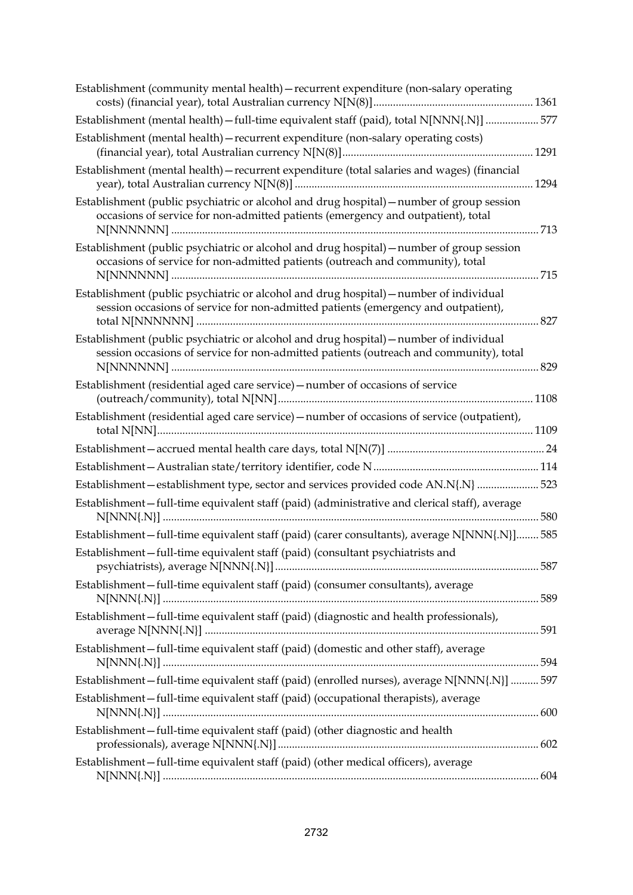| Establishment (community mental health) – recurrent expenditure (non-salary operating                                                                                            |     |
|----------------------------------------------------------------------------------------------------------------------------------------------------------------------------------|-----|
| Establishment (mental health) - full-time equivalent staff (paid), total N[NNN{.N}]  577                                                                                         |     |
| Establishment (mental health) - recurrent expenditure (non-salary operating costs)                                                                                               |     |
| Establishment (mental health) - recurrent expenditure (total salaries and wages) (financial                                                                                      |     |
| Establishment (public psychiatric or alcohol and drug hospital) - number of group session<br>occasions of service for non-admitted patients (emergency and outpatient), total    |     |
| Establishment (public psychiatric or alcohol and drug hospital) - number of group session<br>occasions of service for non-admitted patients (outreach and community), total      | 715 |
| Establishment (public psychiatric or alcohol and drug hospital) - number of individual<br>session occasions of service for non-admitted patients (emergency and outpatient),     |     |
| Establishment (public psychiatric or alcohol and drug hospital) – number of individual<br>session occasions of service for non-admitted patients (outreach and community), total |     |
| Establishment (residential aged care service) - number of occasions of service                                                                                                   |     |
| Establishment (residential aged care service) - number of occasions of service (outpatient),                                                                                     |     |
|                                                                                                                                                                                  |     |
|                                                                                                                                                                                  |     |
| Establishment-establishment type, sector and services provided code AN.N{.N}  523                                                                                                |     |
| Establishment-full-time equivalent staff (paid) (administrative and clerical staff), average                                                                                     |     |
| Establishment-full-time equivalent staff (paid) (carer consultants), average N[NNN{.N}] 585                                                                                      |     |
| Establishment-full-time equivalent staff (paid) (consultant psychiatrists and                                                                                                    |     |
| Establishment-full-time equivalent staff (paid) (consumer consultants), average                                                                                                  |     |
| Establishment-full-time equivalent staff (paid) (diagnostic and health professionals),                                                                                           |     |
| Establishment-full-time equivalent staff (paid) (domestic and other staff), average                                                                                              |     |
| Establishment-full-time equivalent staff (paid) (enrolled nurses), average N[NNN{.N}]  597                                                                                       |     |
| Establishment-full-time equivalent staff (paid) (occupational therapists), average                                                                                               |     |
| Establishment-full-time equivalent staff (paid) (other diagnostic and health                                                                                                     |     |
| Establishment-full-time equivalent staff (paid) (other medical officers), average                                                                                                |     |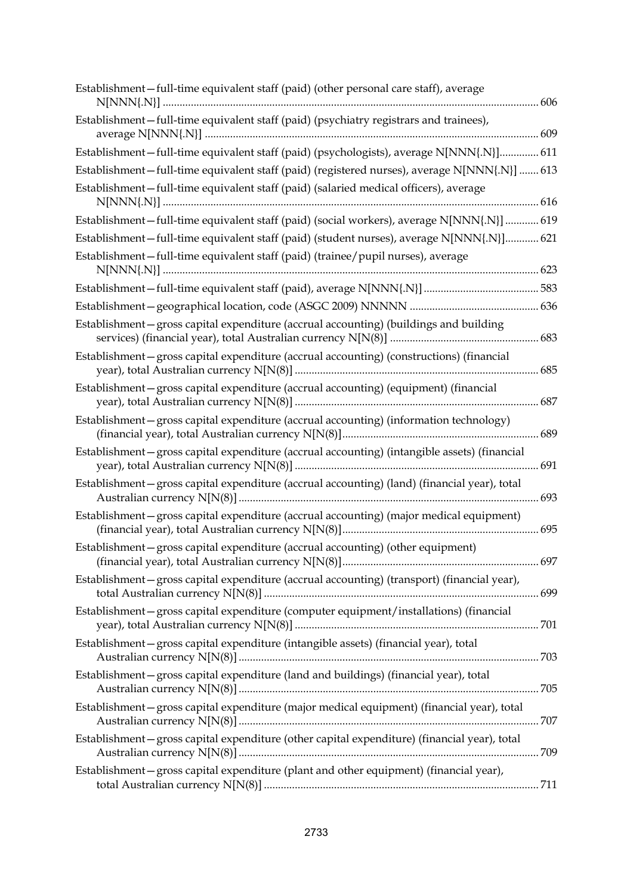| Establishment-full-time equivalent staff (paid) (other personal care staff), average          |  |
|-----------------------------------------------------------------------------------------------|--|
| Establishment-full-time equivalent staff (paid) (psychiatry registrars and trainees),         |  |
| Establishment-full-time equivalent staff (paid) (psychologists), average N[NNN{.N}] 611       |  |
| Establishment-full-time equivalent staff (paid) (registered nurses), average N[NNN{.N}]  613  |  |
| Establishment - full-time equivalent staff (paid) (salaried medical officers), average        |  |
| Establishment-full-time equivalent staff (paid) (social workers), average N[NNN{.N}]  619     |  |
| Establishment-full-time equivalent staff (paid) (student nurses), average N[NNN{.N}] 621      |  |
| Establishment-full-time equivalent staff (paid) (trainee/pupil nurses), average               |  |
|                                                                                               |  |
|                                                                                               |  |
| Establishment-gross capital expenditure (accrual accounting) (buildings and building          |  |
| Establishment-gross capital expenditure (accrual accounting) (constructions) (financial       |  |
| Establishment-gross capital expenditure (accrual accounting) (equipment) (financial           |  |
| Establishment-gross capital expenditure (accrual accounting) (information technology)         |  |
| Establishment – gross capital expenditure (accrual accounting) (intangible assets) (financial |  |
| Establishment-gross capital expenditure (accrual accounting) (land) (financial year), total   |  |
| Establishment – gross capital expenditure (accrual accounting) (major medical equipment)      |  |
| Establishment-gross capital expenditure (accrual accounting) (other equipment)                |  |
| Establishment - gross capital expenditure (accrual accounting) (transport) (financial year),  |  |
| Establishment-gross capital expenditure (computer equipment/installations) (financial         |  |
| Establishment-gross capital expenditure (intangible assets) (financial year), total           |  |
| Establishment-gross capital expenditure (land and buildings) (financial year), total          |  |
| Establishment-gross capital expenditure (major medical equipment) (financial year), total     |  |
| Establishment-gross capital expenditure (other capital expenditure) (financial year), total   |  |
| Establishment-gross capital expenditure (plant and other equipment) (financial year),         |  |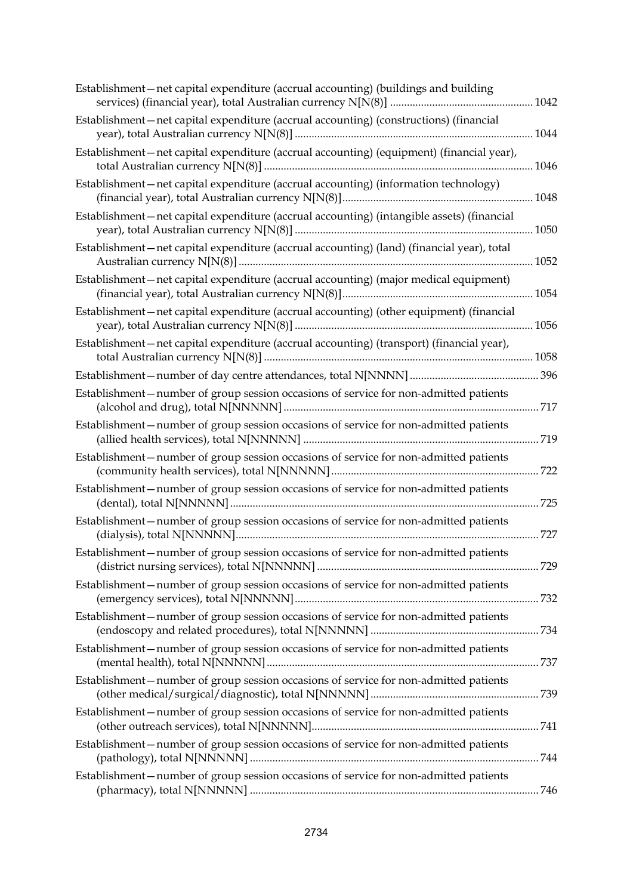| Establishment-net capital expenditure (accrual accounting) (buildings and building        |     |
|-------------------------------------------------------------------------------------------|-----|
| Establishment-net capital expenditure (accrual accounting) (constructions) (financial     |     |
| Establishment-net capital expenditure (accrual accounting) (equipment) (financial year),  |     |
| Establishment-net capital expenditure (accrual accounting) (information technology)       |     |
| Establishment-net capital expenditure (accrual accounting) (intangible assets) (financial |     |
| Establishment-net capital expenditure (accrual accounting) (land) (financial year), total |     |
| Establishment-net capital expenditure (accrual accounting) (major medical equipment)      |     |
| Establishment-net capital expenditure (accrual accounting) (other equipment) (financial   |     |
| Establishment-net capital expenditure (accrual accounting) (transport) (financial year),  |     |
|                                                                                           |     |
| Establishment-number of group session occasions of service for non-admitted patients      |     |
| Establishment-number of group session occasions of service for non-admitted patients      | 719 |
| Establishment-number of group session occasions of service for non-admitted patients      |     |
| Establishment-number of group session occasions of service for non-admitted patients      | 725 |
| Establishment-number of group session occasions of service for non-admitted patients      | 727 |
| Establishment-number of group session occasions of service for non-admitted patients      |     |
| Establishment-number of group session occasions of service for non-admitted patients      |     |
| Establishment – number of group session occasions of service for non-admitted patients    |     |
| Establishment-number of group session occasions of service for non-admitted patients      |     |
| Establishment-number of group session occasions of service for non-admitted patients      |     |
| Establishment-number of group session occasions of service for non-admitted patients      |     |
| Establishment-number of group session occasions of service for non-admitted patients      |     |
| Establishment-number of group session occasions of service for non-admitted patients      |     |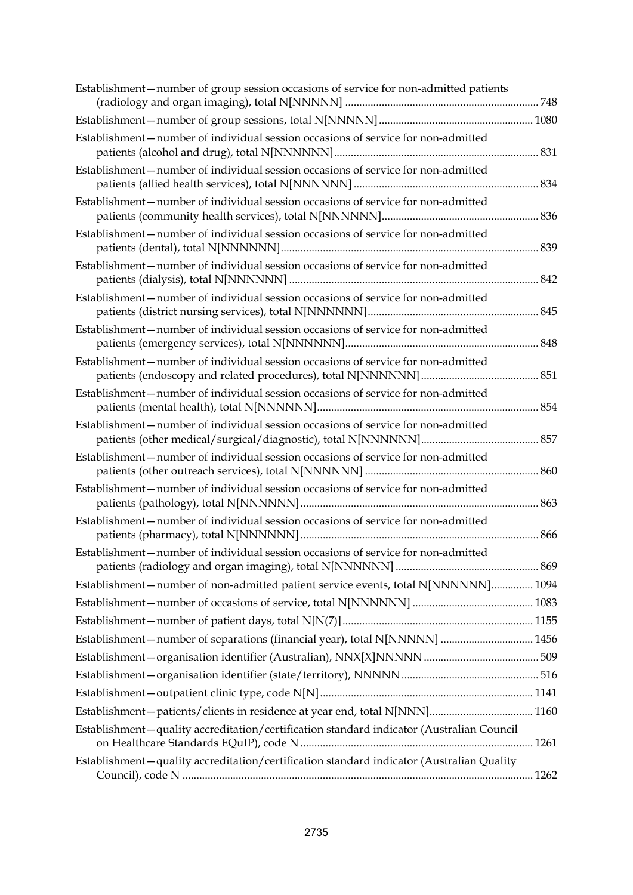| Establishment - number of group session occasions of service for non-admitted patients   |  |
|------------------------------------------------------------------------------------------|--|
|                                                                                          |  |
| Establishment-number of individual session occasions of service for non-admitted         |  |
| Establishment-number of individual session occasions of service for non-admitted         |  |
| Establishment-number of individual session occasions of service for non-admitted         |  |
| Establishment-number of individual session occasions of service for non-admitted         |  |
| Establishment-number of individual session occasions of service for non-admitted         |  |
| Establishment-number of individual session occasions of service for non-admitted         |  |
| Establishment-number of individual session occasions of service for non-admitted         |  |
| Establishment – number of individual session occasions of service for non-admitted       |  |
| Establishment - number of individual session occasions of service for non-admitted       |  |
| Establishment – number of individual session occasions of service for non-admitted       |  |
| Establishment-number of individual session occasions of service for non-admitted         |  |
| Establishment - number of individual session occasions of service for non-admitted       |  |
| Establishment-number of individual session occasions of service for non-admitted         |  |
| Establishment-number of individual session occasions of service for non-admitted         |  |
| Establishment-number of non-admitted patient service events, total N[NNNNNN] 1094        |  |
|                                                                                          |  |
|                                                                                          |  |
|                                                                                          |  |
|                                                                                          |  |
|                                                                                          |  |
|                                                                                          |  |
|                                                                                          |  |
| Establishment-quality accreditation/certification standard indicator (Australian Council |  |
| Establishment-quality accreditation/certification standard indicator (Australian Quality |  |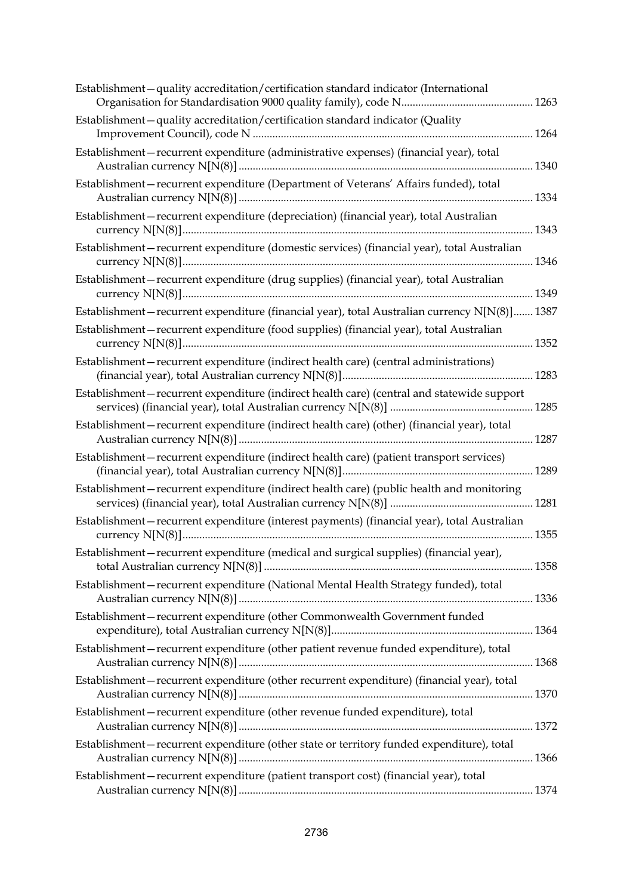| Establishment-quality accreditation/certification standard indicator (International          |  |
|----------------------------------------------------------------------------------------------|--|
| Establishment-quality accreditation/certification standard indicator (Quality                |  |
| Establishment - recurrent expenditure (administrative expenses) (financial year), total      |  |
| Establishment-recurrent expenditure (Department of Veterans' Affairs funded), total          |  |
| Establishment-recurrent expenditure (depreciation) (financial year), total Australian        |  |
| Establishment-recurrent expenditure (domestic services) (financial year), total Australian   |  |
| Establishment-recurrent expenditure (drug supplies) (financial year), total Australian       |  |
| Establishment-recurrent expenditure (financial year), total Australian currency N[N(8)] 1387 |  |
| Establishment-recurrent expenditure (food supplies) (financial year), total Australian       |  |
| Establishment-recurrent expenditure (indirect health care) (central administrations)         |  |
| Establishment-recurrent expenditure (indirect health care) (central and statewide support    |  |
| Establishment-recurrent expenditure (indirect health care) (other) (financial year), total   |  |
| Establishment-recurrent expenditure (indirect health care) (patient transport services)      |  |
| Establishment-recurrent expenditure (indirect health care) (public health and monitoring     |  |
| Establishment-recurrent expenditure (interest payments) (financial year), total Australian   |  |
| Establishment-recurrent expenditure (medical and surgical supplies) (financial year),        |  |
| Establishment-recurrent expenditure (National Mental Health Strategy funded), total          |  |
| Establishment-recurrent expenditure (other Commonwealth Government funded                    |  |
| Establishment-recurrent expenditure (other patient revenue funded expenditure), total        |  |
| Establishment - recurrent expenditure (other recurrent expenditure) (financial year), total  |  |
| Establishment-recurrent expenditure (other revenue funded expenditure), total                |  |
| Establishment - recurrent expenditure (other state or territory funded expenditure), total   |  |
| Establishment-recurrent expenditure (patient transport cost) (financial year), total         |  |
|                                                                                              |  |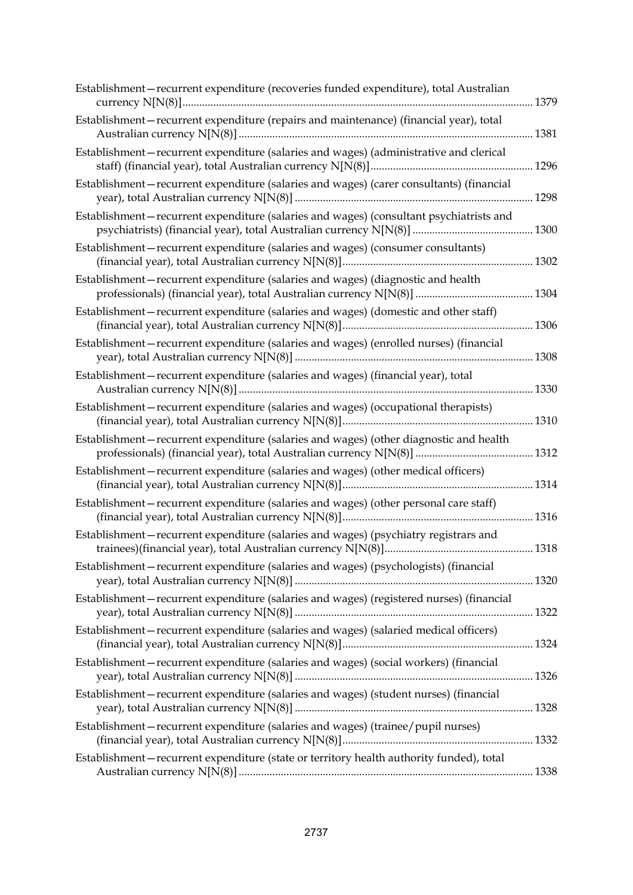| Establishment-recurrent expenditure (recoveries funded expenditure), total Australian     | .1379 |
|-------------------------------------------------------------------------------------------|-------|
| Establishment-recurrent expenditure (repairs and maintenance) (financial year), total     | .1381 |
| Establishment-recurrent expenditure (salaries and wages) (administrative and clerical     |       |
| Establishment-recurrent expenditure (salaries and wages) (carer consultants) (financial   | .1298 |
| Establishment-recurrent expenditure (salaries and wages) (consultant psychiatrists and    |       |
| Establishment-recurrent expenditure (salaries and wages) (consumer consultants)           |       |
| Establishment-recurrent expenditure (salaries and wages) (diagnostic and health           |       |
| Establishment-recurrent expenditure (salaries and wages) (domestic and other staff)       |       |
| Establishment-recurrent expenditure (salaries and wages) (enrolled nurses) (financial     |       |
| Establishment-recurrent expenditure (salaries and wages) (financial year), total          | .1330 |
| Establishment-recurrent expenditure (salaries and wages) (occupational therapists)        |       |
| Establishment-recurrent expenditure (salaries and wages) (other diagnostic and health     |       |
| Establishment-recurrent expenditure (salaries and wages) (other medical officers)         |       |
| Establishment-recurrent expenditure (salaries and wages) (other personal care staff)      |       |
| Establishment-recurrent expenditure (salaries and wages) (psychiatry registrars and       |       |
| Establishment-recurrent expenditure (salaries and wages) (psychologists) (financial       |       |
| Establishment-recurrent expenditure (salaries and wages) (registered nurses) (financial   |       |
| Establishment-recurrent expenditure (salaries and wages) (salaried medical officers)      |       |
| Establishment-recurrent expenditure (salaries and wages) (social workers) (financial      |       |
| Establishment-recurrent expenditure (salaries and wages) (student nurses) (financial      |       |
| Establishment-recurrent expenditure (salaries and wages) (trainee/pupil nurses)           |       |
| Establishment - recurrent expenditure (state or territory health authority funded), total |       |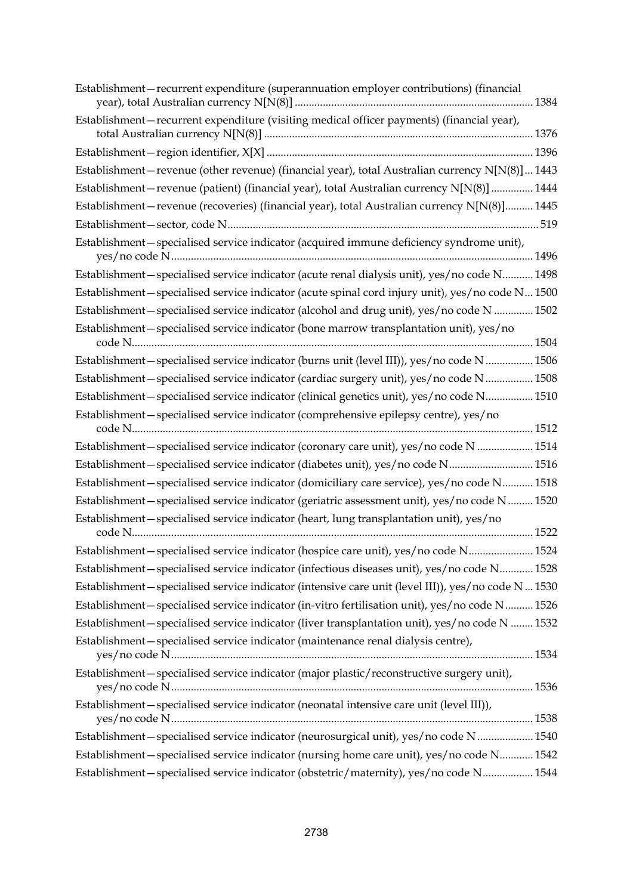| Establishment-recurrent expenditure (superannuation employer contributions) (financial               |  |
|------------------------------------------------------------------------------------------------------|--|
| Establishment-recurrent expenditure (visiting medical officer payments) (financial year),            |  |
|                                                                                                      |  |
| Establishment-revenue (other revenue) (financial year), total Australian currency N[N(8)] 1443       |  |
| Establishment-revenue (patient) (financial year), total Australian currency N[N(8)]  1444            |  |
| Establishment-revenue (recoveries) (financial year), total Australian currency N[N(8)] 1445          |  |
|                                                                                                      |  |
| Establishment-specialised service indicator (acquired immune deficiency syndrome unit),              |  |
| Establishment-specialised service indicator (acute renal dialysis unit), yes/no code N 1498          |  |
| Establishment-specialised service indicator (acute spinal cord injury unit), yes/no code N 1500      |  |
| Establishment-specialised service indicator (alcohol and drug unit), yes/no code N  1502             |  |
| Establishment-specialised service indicator (bone marrow transplantation unit), yes/no               |  |
| Establishment-specialised service indicator (burns unit (level III)), yes/no code N  1506            |  |
| Establishment-specialised service indicator (cardiac surgery unit), yes/no code N  1508              |  |
| Establishment-specialised service indicator (clinical genetics unit), yes/no code N 1510             |  |
| Establishment-specialised service indicator (comprehensive epilepsy centre), yes/no                  |  |
| Establishment-specialised service indicator (coronary care unit), yes/no code N  1514                |  |
| Establishment-specialised service indicator (diabetes unit), yes/no code N 1516                      |  |
| Establishment-specialised service indicator (domiciliary care service), yes/no code N 1518           |  |
| Establishment-specialised service indicator (geriatric assessment unit), yes/no code N  1520         |  |
| Establishment-specialised service indicator (heart, lung transplantation unit), yes/no               |  |
|                                                                                                      |  |
| Establishment-specialised service indicator (hospice care unit), yes/no code N 1524                  |  |
| Establishment-specialised service indicator (infectious diseases unit), yes/no code N 1528           |  |
| Establishment - specialised service indicator (intensive care unit (level III)), yes/no code N  1530 |  |
| Establishment-specialised service indicator (in-vitro fertilisation unit), yes/no code N 1526        |  |
| Establishment-specialised service indicator (liver transplantation unit), yes/no code N  1532        |  |
| Establishment-specialised service indicator (maintenance renal dialysis centre),                     |  |
| Establishment-specialised service indicator (major plastic/reconstructive surgery unit),             |  |
| Establishment-specialised service indicator (neonatal intensive care unit (level III)),              |  |
| Establishment-specialised service indicator (neurosurgical unit), yes/no code N  1540                |  |
| Establishment-specialised service indicator (nursing home care unit), yes/no code N 1542             |  |
| Establishment-specialised service indicator (obstetric/maternity), yes/no code N 1544                |  |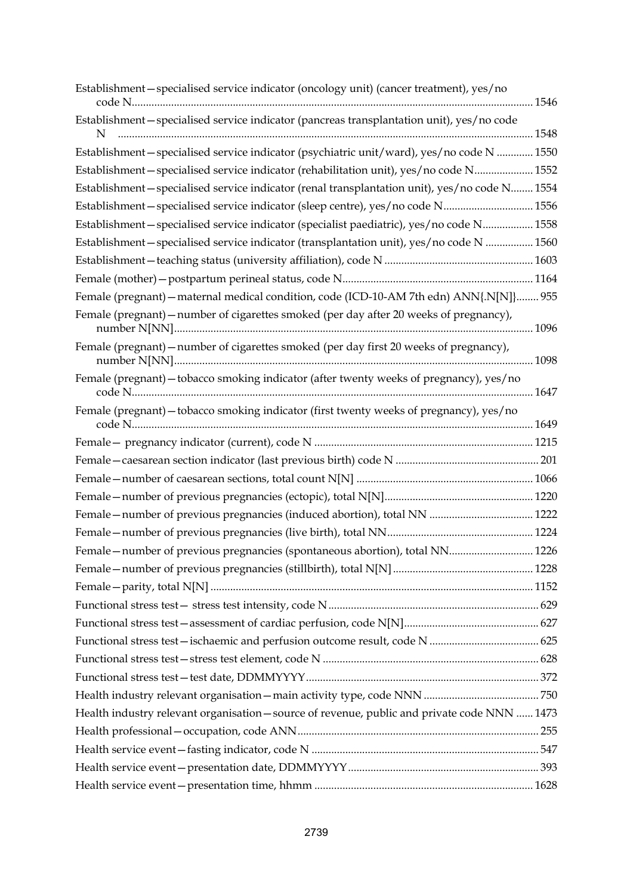| Establishment-specialised service indicator (oncology unit) (cancer treatment), yes/no        |  |
|-----------------------------------------------------------------------------------------------|--|
| Establishment-specialised service indicator (pancreas transplantation unit), yes/no code<br>N |  |
| Establishment-specialised service indicator (psychiatric unit/ward), yes/no code N  1550      |  |
| Establishment-specialised service indicator (rehabilitation unit), yes/no code N 1552         |  |
| Establishment-specialised service indicator (renal transplantation unit), yes/no code N 1554  |  |
| Establishment-specialised service indicator (sleep centre), yes/no code N 1556                |  |
| Establishment-specialised service indicator (specialist paediatric), yes/no code N 1558       |  |
| Establishment-specialised service indicator (transplantation unit), yes/no code N  1560       |  |
|                                                                                               |  |
|                                                                                               |  |
| Female (pregnant) - maternal medical condition, code (ICD-10-AM 7th edn) ANN{.N[N]} 955       |  |
| Female (pregnant) – number of cigarettes smoked (per day after 20 weeks of pregnancy),        |  |
| Female (pregnant) - number of cigarettes smoked (per day first 20 weeks of pregnancy),        |  |
| Female (pregnant) - tobacco smoking indicator (after twenty weeks of pregnancy), yes/no       |  |
| Female (pregnant) - tobacco smoking indicator (first twenty weeks of pregnancy), yes/no       |  |
|                                                                                               |  |
|                                                                                               |  |
|                                                                                               |  |
|                                                                                               |  |
|                                                                                               |  |
|                                                                                               |  |
| Female-number of previous pregnancies (spontaneous abortion), total NN 1226                   |  |
|                                                                                               |  |
|                                                                                               |  |
|                                                                                               |  |
|                                                                                               |  |
|                                                                                               |  |
|                                                                                               |  |
|                                                                                               |  |
|                                                                                               |  |
| Health industry relevant organisation - source of revenue, public and private code NNN  1473  |  |
|                                                                                               |  |
|                                                                                               |  |
|                                                                                               |  |
|                                                                                               |  |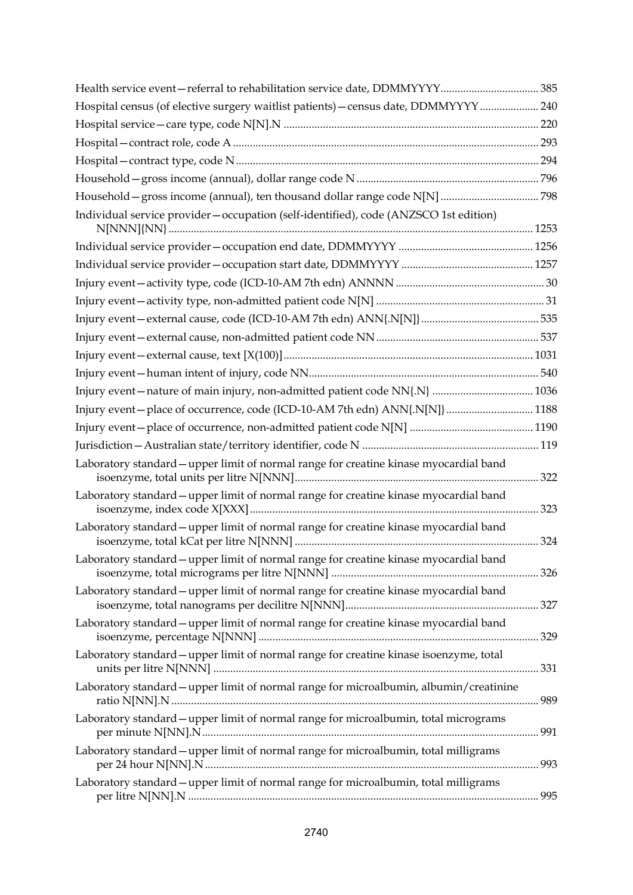| Hospital census (of elective surgery waitlist patients) - census date, DDMMYYYY  240   |  |
|----------------------------------------------------------------------------------------|--|
|                                                                                        |  |
|                                                                                        |  |
|                                                                                        |  |
|                                                                                        |  |
|                                                                                        |  |
| Individual service provider-occupation (self-identified), code (ANZSCO 1st edition)    |  |
|                                                                                        |  |
|                                                                                        |  |
|                                                                                        |  |
|                                                                                        |  |
|                                                                                        |  |
|                                                                                        |  |
|                                                                                        |  |
|                                                                                        |  |
|                                                                                        |  |
| Injury event-place of occurrence, code (ICD-10-AM 7th edn) ANN{.N[N]}  1188            |  |
|                                                                                        |  |
|                                                                                        |  |
| Laboratory standard - upper limit of normal range for creatine kinase myocardial band  |  |
| Laboratory standard - upper limit of normal range for creatine kinase myocardial band  |  |
| Laboratory standard - upper limit of normal range for creatine kinase myocardial band  |  |
| Laboratory standard - upper limit of normal range for creatine kinase myocardial band  |  |
| Laboratory standard - upper limit of normal range for creatine kinase myocardial band  |  |
| Laboratory standard - upper limit of normal range for creatine kinase myocardial band  |  |
| Laboratory standard - upper limit of normal range for creatine kinase isoenzyme, total |  |
| Laboratory standard - upper limit of normal range for microalbumin, albumin/creatinine |  |
| Laboratory standard - upper limit of normal range for microalbumin, total micrograms   |  |
| Laboratory standard - upper limit of normal range for microalbumin, total milligrams   |  |
| Laboratory standard – upper limit of normal range for microalbumin, total milligrams   |  |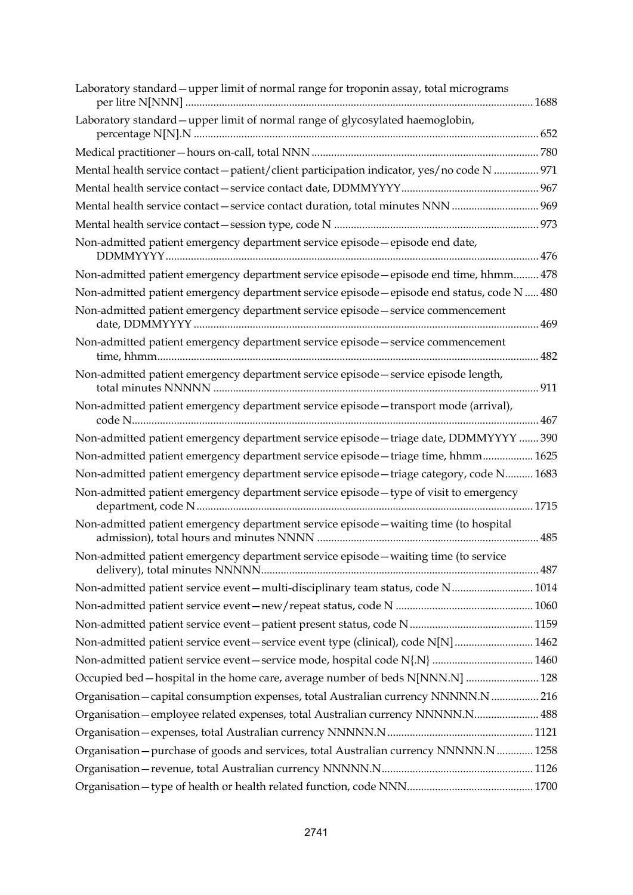| Laboratory standard – upper limit of normal range for troponin assay, total micrograms      |
|---------------------------------------------------------------------------------------------|
| Laboratory standard - upper limit of normal range of glycosylated haemoglobin,              |
|                                                                                             |
| Mental health service contact - patient/client participation indicator, yes/no code N  971  |
|                                                                                             |
| Mental health service contact - service contact duration, total minutes NNN  969            |
|                                                                                             |
| Non-admitted patient emergency department service episode - episode end date,               |
| Non-admitted patient emergency department service episode - episode end time, hhmm 478      |
| Non-admitted patient emergency department service episode - episode end status, code N  480 |
| Non-admitted patient emergency department service episode - service commencement            |
| Non-admitted patient emergency department service episode - service commencement            |
| Non-admitted patient emergency department service episode - service episode length,         |
| Non-admitted patient emergency department service episode - transport mode (arrival),       |
| Non-admitted patient emergency department service episode - triage date, DDMMYYYY  390      |
| Non-admitted patient emergency department service episode - triage time, hhmm 1625          |
| Non-admitted patient emergency department service episode - triage category, code N 1683    |
| Non-admitted patient emergency department service episode-type of visit to emergency        |
| Non-admitted patient emergency department service episode - waiting time (to hospital       |
| Non-admitted patient emergency department service episode - waiting time (to service        |
| Non-admitted patient service event-multi-disciplinary team status, code N 1014              |
|                                                                                             |
|                                                                                             |
| Non-admitted patient service event - service event type (clinical), code N[N]  1462         |
|                                                                                             |
| Occupied bed - hospital in the home care, average number of beds N[NNN.N]  128              |
| Organisation - capital consumption expenses, total Australian currency NNNNN.N  216         |
| Organisation-employee related expenses, total Australian currency NNNNN.N 488               |
|                                                                                             |
| Organisation - purchase of goods and services, total Australian currency NNNNN.N 1258       |
|                                                                                             |
|                                                                                             |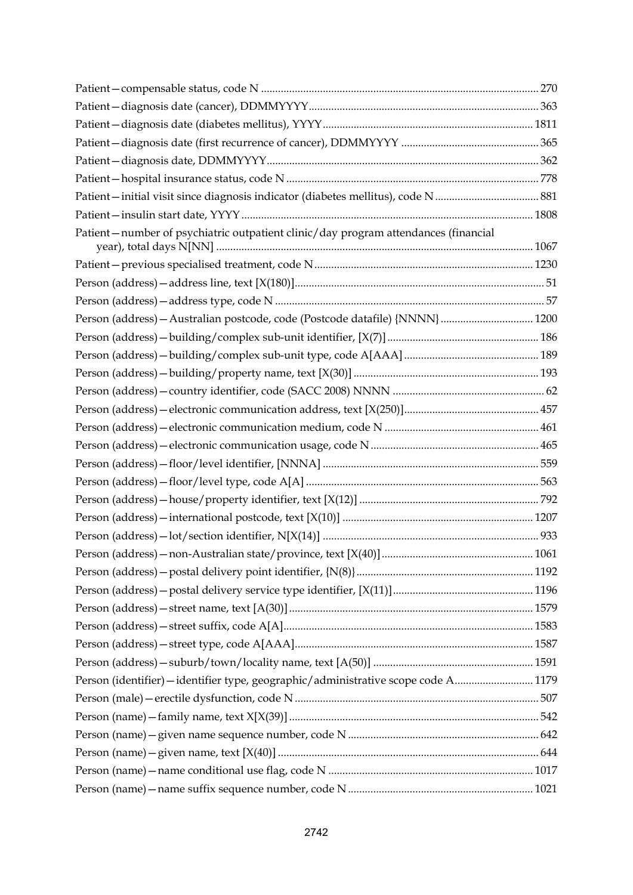| Patient-number of psychiatric outpatient clinic/day program attendances (financial |  |
|------------------------------------------------------------------------------------|--|
|                                                                                    |  |
|                                                                                    |  |
|                                                                                    |  |
|                                                                                    |  |
|                                                                                    |  |
|                                                                                    |  |
|                                                                                    |  |
|                                                                                    |  |
|                                                                                    |  |
|                                                                                    |  |
|                                                                                    |  |
|                                                                                    |  |
|                                                                                    |  |
|                                                                                    |  |
|                                                                                    |  |
|                                                                                    |  |
|                                                                                    |  |
|                                                                                    |  |
|                                                                                    |  |
|                                                                                    |  |
|                                                                                    |  |
|                                                                                    |  |
|                                                                                    |  |
| Person (identifier) - identifier type, geographic/administrative scope code A 1179 |  |
|                                                                                    |  |
|                                                                                    |  |
|                                                                                    |  |
|                                                                                    |  |
|                                                                                    |  |
|                                                                                    |  |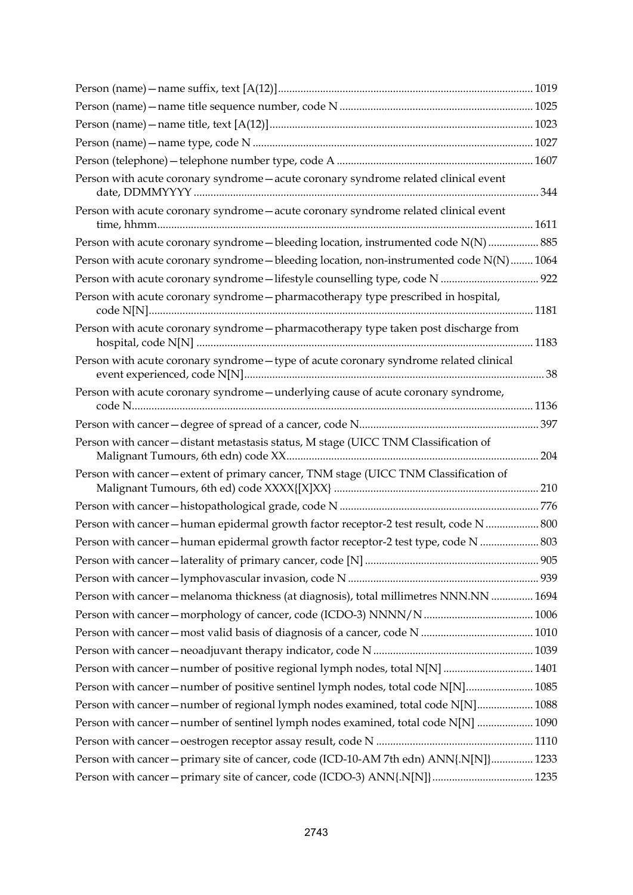| Person with acute coronary syndrome - acute coronary syndrome related clinical event     |  |
|------------------------------------------------------------------------------------------|--|
| Person with acute coronary syndrome - acute coronary syndrome related clinical event     |  |
| Person with acute coronary syndrome - bleeding location, instrumented code N(N)  885     |  |
| Person with acute coronary syndrome - bleeding location, non-instrumented code N(N) 1064 |  |
|                                                                                          |  |
| Person with acute coronary syndrome - pharmacotherapy type prescribed in hospital,       |  |
| Person with acute coronary syndrome - pharmacotherapy type taken post discharge from     |  |
| Person with acute coronary syndrome-type of acute coronary syndrome related clinical     |  |
| Person with acute coronary syndrome-underlying cause of acute coronary syndrome,         |  |
|                                                                                          |  |
| Person with cancer-distant metastasis status, M stage (UICC TNM Classification of        |  |
| Person with cancer-extent of primary cancer, TNM stage (UICC TNM Classification of       |  |
|                                                                                          |  |
| Person with cancer-human epidermal growth factor receptor-2 test result, code N  800     |  |
| Person with cancer-human epidermal growth factor receptor-2 test type, code N  803       |  |
|                                                                                          |  |
|                                                                                          |  |
| Person with cancer - melanoma thickness (at diagnosis), total millimetres NNN.NN  1694   |  |
|                                                                                          |  |
|                                                                                          |  |
|                                                                                          |  |
| Person with cancer-number of positive regional lymph nodes, total N[N]  1401             |  |
| Person with cancer-number of positive sentinel lymph nodes, total code N[N] 1085         |  |
| Person with cancer-number of regional lymph nodes examined, total code N[N] 1088         |  |
| Person with cancer - number of sentinel lymph nodes examined, total code N[N]  1090      |  |
|                                                                                          |  |
| Person with cancer - primary site of cancer, code (ICD-10-AM 7th edn) ANN{.N[N]} 1233    |  |
| Person with cancer - primary site of cancer, code (ICDO-3) ANN{.N[N]}  1235              |  |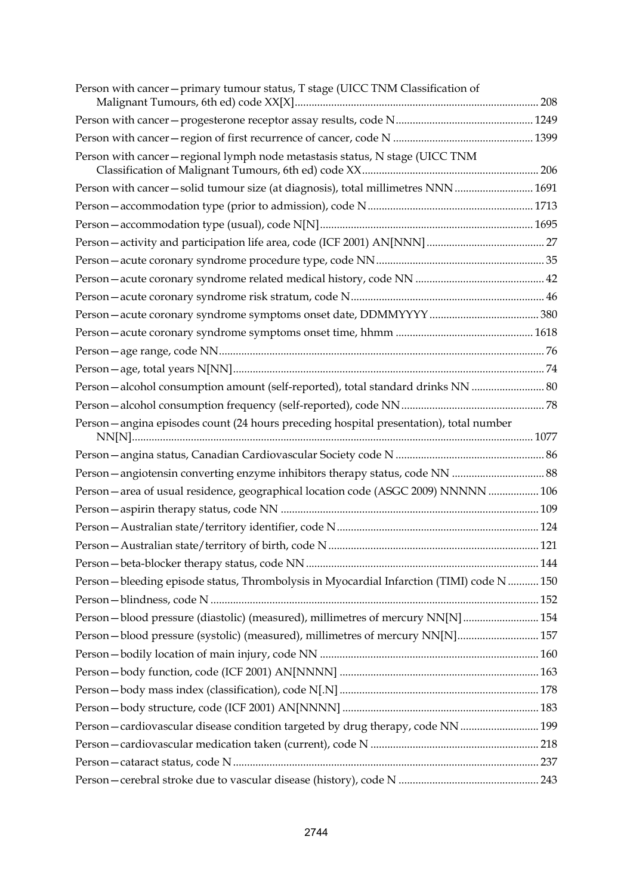| Person with cancer-primary tumour status, T stage (UICC TNM Classification of             |  |
|-------------------------------------------------------------------------------------------|--|
|                                                                                           |  |
|                                                                                           |  |
| Person with cancer - regional lymph node metastasis status, N stage (UICC TNM             |  |
| Person with cancer-solid tumour size (at diagnosis), total millimetres NNN  1691          |  |
|                                                                                           |  |
|                                                                                           |  |
|                                                                                           |  |
|                                                                                           |  |
|                                                                                           |  |
|                                                                                           |  |
|                                                                                           |  |
|                                                                                           |  |
|                                                                                           |  |
|                                                                                           |  |
| Person-alcohol consumption amount (self-reported), total standard drinks NN  80           |  |
|                                                                                           |  |
| Person - angina episodes count (24 hours preceding hospital presentation), total number   |  |
|                                                                                           |  |
|                                                                                           |  |
| Person-area of usual residence, geographical location code (ASGC 2009) NNNNN  106         |  |
|                                                                                           |  |
|                                                                                           |  |
|                                                                                           |  |
|                                                                                           |  |
| Person - bleeding episode status, Thrombolysis in Myocardial Infarction (TIMI) code N 150 |  |
|                                                                                           |  |
| Person-blood pressure (diastolic) (measured), millimetres of mercury NN[N] 154            |  |
| Person-blood pressure (systolic) (measured), millimetres of mercury NN[N] 157             |  |
|                                                                                           |  |
|                                                                                           |  |
|                                                                                           |  |
|                                                                                           |  |
| Person-cardiovascular disease condition targeted by drug therapy, code NN  199            |  |
|                                                                                           |  |
|                                                                                           |  |
|                                                                                           |  |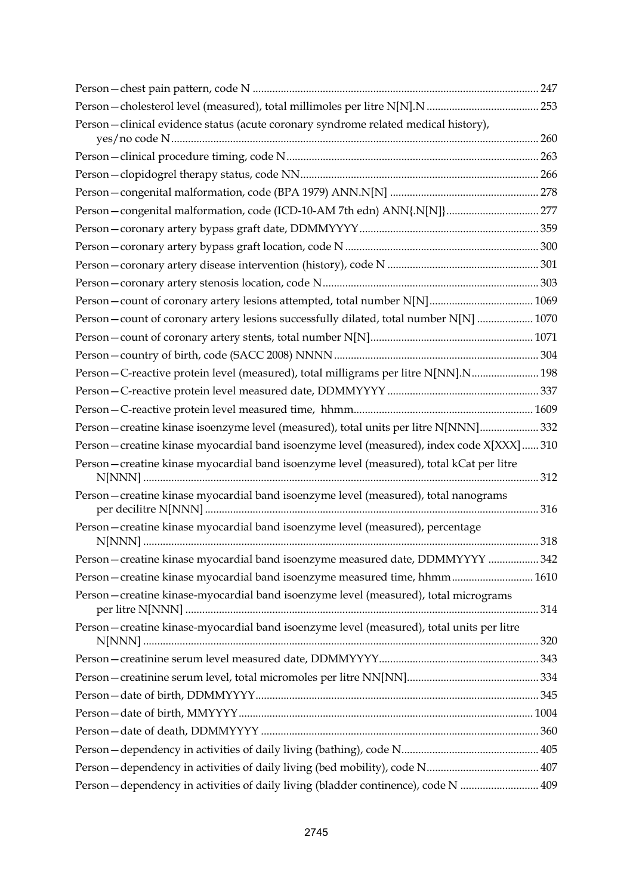| Person-clinical evidence status (acute coronary syndrome related medical history),        |  |
|-------------------------------------------------------------------------------------------|--|
|                                                                                           |  |
|                                                                                           |  |
|                                                                                           |  |
| Person-congenital malformation, code (ICD-10-AM 7th edn) ANN{.N[N]} 277                   |  |
|                                                                                           |  |
|                                                                                           |  |
|                                                                                           |  |
|                                                                                           |  |
|                                                                                           |  |
| Person - count of coronary artery lesions successfully dilated, total number N[N]  1070   |  |
|                                                                                           |  |
|                                                                                           |  |
| Person - C-reactive protein level (measured), total milligrams per litre N[NN].N 198      |  |
|                                                                                           |  |
|                                                                                           |  |
| Person-creatine kinase isoenzyme level (measured), total units per litre N[NNN] 332       |  |
| Person-creatine kinase myocardial band isoenzyme level (measured), index code X[XXX]  310 |  |
| Person-creatine kinase myocardial band isoenzyme level (measured), total kCat per litre   |  |
| Person-creatine kinase myocardial band isoenzyme level (measured), total nanograms        |  |
| Person-creatine kinase myocardial band isoenzyme level (measured), percentage             |  |
| Person-creatine kinase myocardial band isoenzyme measured date, DDMMYYYY  342             |  |
| Person – creatine kinase myocardial band isoenzyme measured time, hhmm 1610               |  |
| Person-creatine kinase-myocardial band isoenzyme level (measured), total micrograms       |  |
| Person-creatine kinase-myocardial band isoenzyme level (measured), total units per litre  |  |
|                                                                                           |  |
|                                                                                           |  |
|                                                                                           |  |
|                                                                                           |  |
|                                                                                           |  |
|                                                                                           |  |
|                                                                                           |  |
| Person-dependency in activities of daily living (bladder continence), code N  409         |  |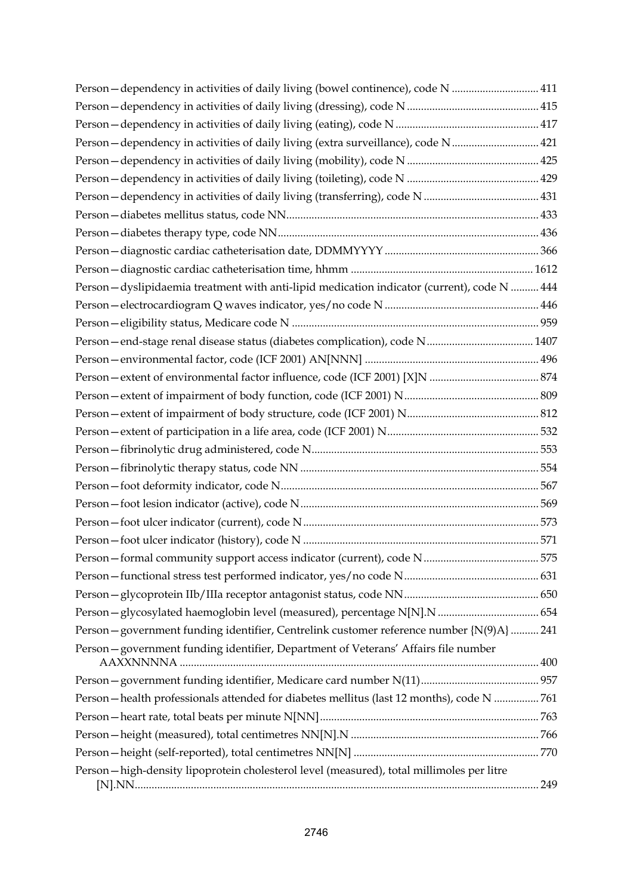| Person - dependency in activities of daily living (bowel continence), code N  411            |  |
|----------------------------------------------------------------------------------------------|--|
|                                                                                              |  |
|                                                                                              |  |
| Person - dependency in activities of daily living (extra surveillance), code N 421           |  |
|                                                                                              |  |
|                                                                                              |  |
|                                                                                              |  |
|                                                                                              |  |
|                                                                                              |  |
|                                                                                              |  |
|                                                                                              |  |
| Person - dyslipidaemia treatment with anti-lipid medication indicator (current), code N  444 |  |
|                                                                                              |  |
|                                                                                              |  |
| Person-end-stage renal disease status (diabetes complication), code N 1407                   |  |
|                                                                                              |  |
|                                                                                              |  |
|                                                                                              |  |
|                                                                                              |  |
|                                                                                              |  |
|                                                                                              |  |
|                                                                                              |  |
|                                                                                              |  |
|                                                                                              |  |
|                                                                                              |  |
|                                                                                              |  |
|                                                                                              |  |
|                                                                                              |  |
|                                                                                              |  |
|                                                                                              |  |
| Person - government funding identifier, Centrelink customer reference number {N(9)A}  241    |  |
| Person-government funding identifier, Department of Veterans' Affairs file number            |  |
|                                                                                              |  |
| Person - health professionals attended for diabetes mellitus (last 12 months), code N 761    |  |
|                                                                                              |  |
|                                                                                              |  |
|                                                                                              |  |
| Person-high-density lipoprotein cholesterol level (measured), total millimoles per litre     |  |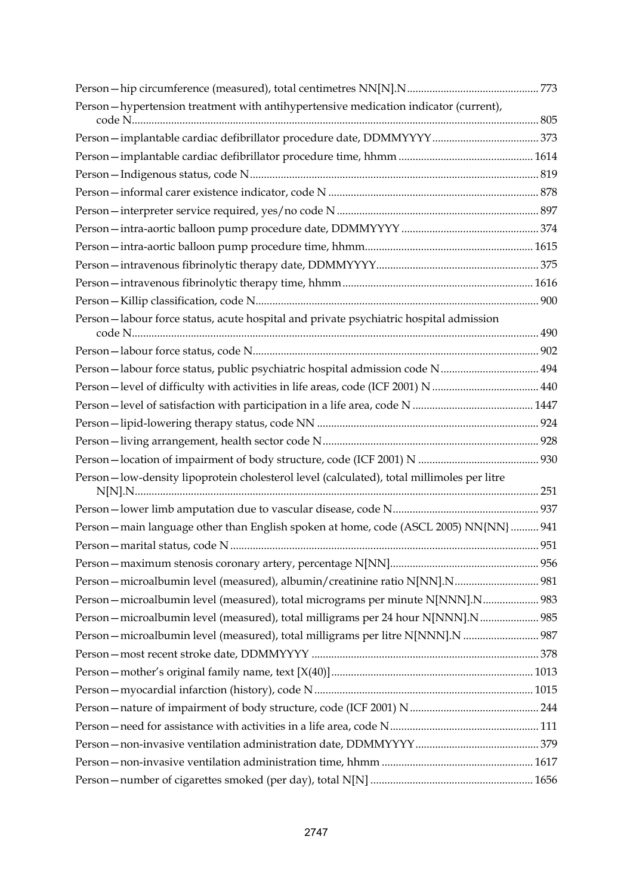| Person-hypertension treatment with antihypertensive medication indicator (current),       |  |
|-------------------------------------------------------------------------------------------|--|
|                                                                                           |  |
|                                                                                           |  |
|                                                                                           |  |
|                                                                                           |  |
|                                                                                           |  |
|                                                                                           |  |
|                                                                                           |  |
|                                                                                           |  |
|                                                                                           |  |
|                                                                                           |  |
|                                                                                           |  |
| Person-labour force status, acute hospital and private psychiatric hospital admission     |  |
|                                                                                           |  |
| Person-labour force status, public psychiatric hospital admission code N 494              |  |
|                                                                                           |  |
|                                                                                           |  |
|                                                                                           |  |
|                                                                                           |  |
|                                                                                           |  |
| Person-low-density lipoprotein cholesterol level (calculated), total millimoles per litre |  |
|                                                                                           |  |
| Person - main language other than English spoken at home, code (ASCL 2005) NN{NN}  941    |  |
|                                                                                           |  |
|                                                                                           |  |
| Person - microalbumin level (measured), albumin/creatinine ratio N[NN].N 981              |  |
| Person - microalbumin level (measured), total micrograms per minute N[NNN].N 983          |  |
| Person - microalbumin level (measured), total milligrams per 24 hour N[NNN].N 985         |  |
| Person - microalbumin level (measured), total milligrams per litre N[NNN].N  987          |  |
|                                                                                           |  |
|                                                                                           |  |
|                                                                                           |  |
|                                                                                           |  |
|                                                                                           |  |
|                                                                                           |  |
|                                                                                           |  |
|                                                                                           |  |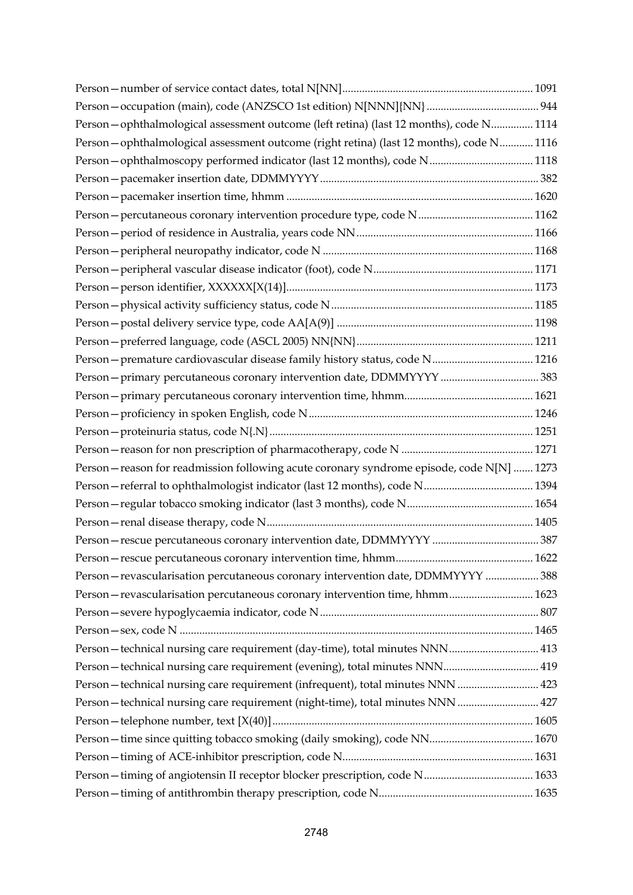| Person-ophthalmological assessment outcome (left retina) (last 12 months), code N 1114     |  |
|--------------------------------------------------------------------------------------------|--|
| Person-ophthalmological assessment outcome (right retina) (last 12 months), code N 1116    |  |
| Person-ophthalmoscopy performed indicator (last 12 months), code N 1118                    |  |
|                                                                                            |  |
|                                                                                            |  |
|                                                                                            |  |
|                                                                                            |  |
|                                                                                            |  |
|                                                                                            |  |
|                                                                                            |  |
|                                                                                            |  |
|                                                                                            |  |
|                                                                                            |  |
| Person - premature cardiovascular disease family history status, code N 1216               |  |
|                                                                                            |  |
|                                                                                            |  |
|                                                                                            |  |
|                                                                                            |  |
|                                                                                            |  |
| Person - reason for readmission following acute coronary syndrome episode, code N[N]  1273 |  |
|                                                                                            |  |
|                                                                                            |  |
|                                                                                            |  |
|                                                                                            |  |
|                                                                                            |  |
| Person - revascularisation percutaneous coronary intervention date, DDMMYYYY  388          |  |
| Person - revascularisation percutaneous coronary intervention time, hhmm 1623              |  |
|                                                                                            |  |
|                                                                                            |  |
| Person - technical nursing care requirement (day-time), total minutes NNN 413              |  |
| Person - technical nursing care requirement (evening), total minutes NNN 419               |  |
| Person - technical nursing care requirement (infrequent), total minutes NNN  423           |  |
| Person - technical nursing care requirement (night-time), total minutes NNN  427           |  |
|                                                                                            |  |
| Person-time since quitting tobacco smoking (daily smoking), code NN 1670                   |  |
|                                                                                            |  |
|                                                                                            |  |
|                                                                                            |  |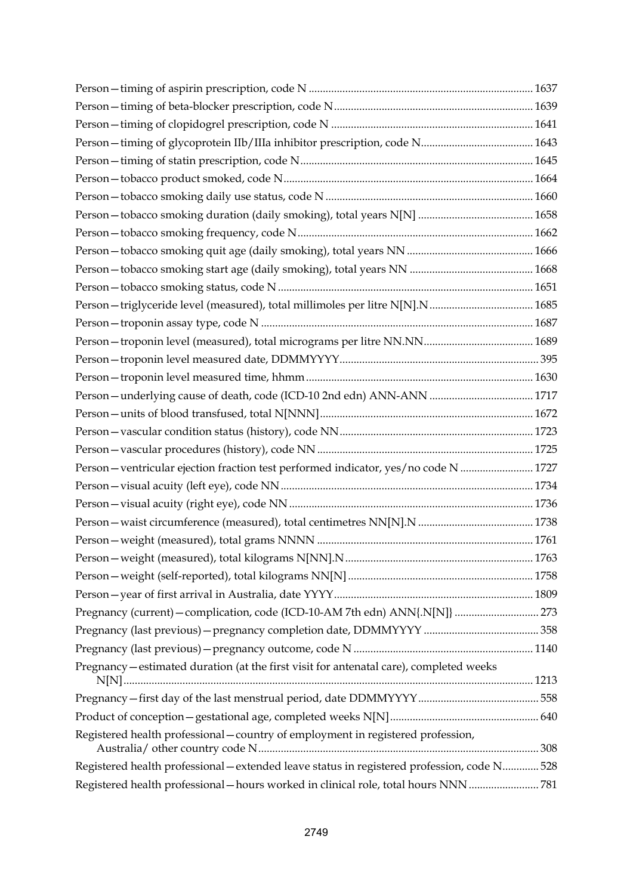| Person - ventricular ejection fraction test performed indicator, yes/no code N  1727        |  |
|---------------------------------------------------------------------------------------------|--|
|                                                                                             |  |
|                                                                                             |  |
|                                                                                             |  |
|                                                                                             |  |
|                                                                                             |  |
|                                                                                             |  |
|                                                                                             |  |
| Pregnancy (current) - complication, code (ICD-10-AM 7th edn) ANN{.N[N]}  273                |  |
|                                                                                             |  |
|                                                                                             |  |
| Pregnancy – estimated duration (at the first visit for antenatal care), completed weeks     |  |
|                                                                                             |  |
|                                                                                             |  |
| Registered health professional - country of employment in registered profession,            |  |
| Registered health professional - extended leave status in registered profession, code N 528 |  |
| Registered health professional - hours worked in clinical role, total hours NNN 781         |  |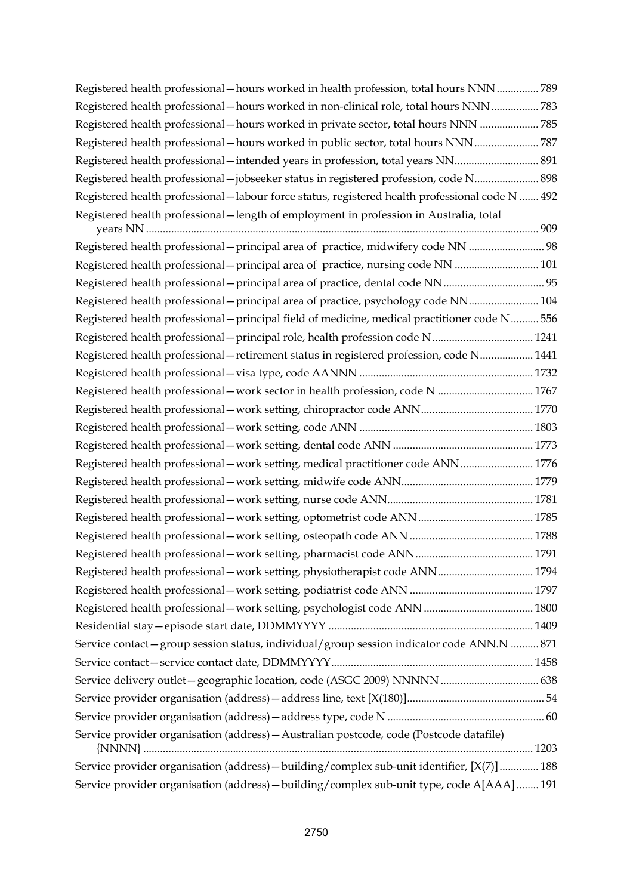| Registered health professional – hours worked in health profession, total hours NNN 789          |  |
|--------------------------------------------------------------------------------------------------|--|
| Registered health professional - hours worked in non-clinical role, total hours NNN  783         |  |
| Registered health professional - hours worked in private sector, total hours NNN 785             |  |
| Registered health professional - hours worked in public sector, total hours NNN787               |  |
|                                                                                                  |  |
| Registered health professional -jobseeker status in registered profession, code N 898            |  |
| Registered health professional - labour force status, registered health professional code N  492 |  |
| Registered health professional - length of employment in profession in Australia, total          |  |
| Registered health professional - principal area of practice, midwifery code NN  98               |  |
| Registered health professional - principal area of practice, nursing code NN  101                |  |
|                                                                                                  |  |
| Registered health professional - principal area of practice, psychology code NN 104              |  |
| Registered health professional - principal field of medicine, medical practitioner code N 556    |  |
| Registered health professional - principal role, health profession code N 1241                   |  |
| Registered health professional - retirement status in registered profession, code N 1441         |  |
|                                                                                                  |  |
| Registered health professional - work sector in health profession, code N  1767                  |  |
|                                                                                                  |  |
|                                                                                                  |  |
|                                                                                                  |  |
| Registered health professional - work setting, medical practitioner code ANN  1776               |  |
|                                                                                                  |  |
|                                                                                                  |  |
|                                                                                                  |  |
|                                                                                                  |  |
|                                                                                                  |  |
| Registered health professional - work setting, physiotherapist code ANN 1794                     |  |
|                                                                                                  |  |
|                                                                                                  |  |
|                                                                                                  |  |
| Service contact - group session status, individual/group session indicator code ANN.N  871       |  |
|                                                                                                  |  |
|                                                                                                  |  |
|                                                                                                  |  |
|                                                                                                  |  |
| Service provider organisation (address) - Australian postcode, code (Postcode datafile)          |  |
| Service provider organisation (address) - building/complex sub-unit identifier, [X(7)]  188      |  |
| Service provider organisation (address) - building/complex sub-unit type, code A[AAA] 191        |  |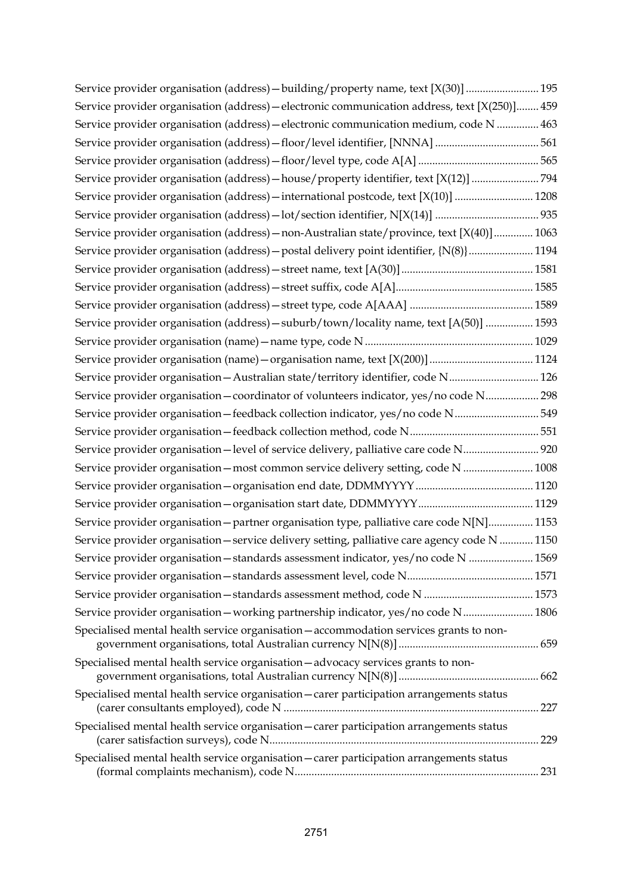| Service provider organisation (address) - building/property name, text [X(30)]  195           |     |
|-----------------------------------------------------------------------------------------------|-----|
| Service provider organisation (address) - electronic communication address, text [X(250)] 459 |     |
| Service provider organisation (address) - electronic communication medium, code N  463        |     |
|                                                                                               |     |
|                                                                                               |     |
| Service provider organisation (address) - house/property identifier, text [X(12)] 794         |     |
| Service provider organisation (address) - international postcode, text [X(10)]  1208          |     |
|                                                                                               |     |
| Service provider organisation (address) - non-Australian state/province, text [X(40)] 1063    |     |
| Service provider organisation (address) - postal delivery point identifier, {N(8)}  1194      |     |
|                                                                                               |     |
|                                                                                               |     |
|                                                                                               |     |
| Service provider organisation (address) - suburb/town/locality name, text [A(50)]  1593       |     |
|                                                                                               |     |
| Service provider organisation (name) - organisation name, text [X(200)]  1124                 |     |
| Service provider organisation - Australian state/territory identifier, code N 126             |     |
| Service provider organisation - coordinator of volunteers indicator, yes/no code N 298        |     |
| Service provider organisation-feedback collection indicator, yes/no code N549                 |     |
|                                                                                               |     |
| Service provider organisation-level of service delivery, palliative care code N 920           |     |
| Service provider organisation - most common service delivery setting, code N  1008            |     |
|                                                                                               |     |
|                                                                                               |     |
| Service provider organisation - partner organisation type, palliative care code N[N] 1153     |     |
| Service provider organisation - service delivery setting, palliative care agency code N  1150 |     |
| Service provider organisation - standards assessment indicator, yes/no code N  1569           |     |
|                                                                                               |     |
|                                                                                               |     |
| Service provider organisation-working partnership indicator, yes/no code N 1806               |     |
| Specialised mental health service organisation - accommodation services grants to non-        |     |
| Specialised mental health service organisation - advocacy services grants to non-             |     |
| Specialised mental health service organisation - carer participation arrangements status      | 227 |
| Specialised mental health service organisation - carer participation arrangements status      |     |
| Specialised mental health service organisation - carer participation arrangements status      |     |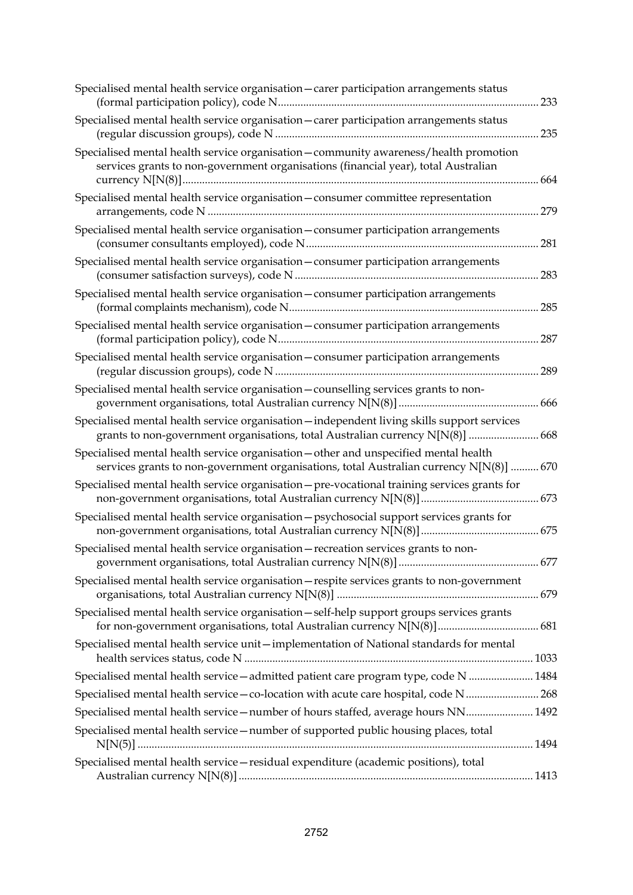| Specialised mental health service organisation - carer participation arrangements status                                                                                        | 233 |
|---------------------------------------------------------------------------------------------------------------------------------------------------------------------------------|-----|
| Specialised mental health service organisation - carer participation arrangements status                                                                                        | 235 |
| Specialised mental health service organisation - community awareness/health promotion<br>services grants to non-government organisations (financial year), total Australian     | 664 |
| Specialised mental health service organisation - consumer committee representation                                                                                              | 279 |
| Specialised mental health service organisation - consumer participation arrangements                                                                                            | 281 |
| Specialised mental health service organisation - consumer participation arrangements                                                                                            | 283 |
| Specialised mental health service organisation - consumer participation arrangements                                                                                            | 285 |
| Specialised mental health service organisation - consumer participation arrangements                                                                                            | 287 |
| Specialised mental health service organisation - consumer participation arrangements                                                                                            | 289 |
| Specialised mental health service organisation - counselling services grants to non-                                                                                            | 666 |
| Specialised mental health service organisation - independent living skills support services<br>grants to non-government organisations, total Australian currency N[N(8)]  668   |     |
| Specialised mental health service organisation - other and unspecified mental health<br>services grants to non-government organisations, total Australian currency N[N(8)]  670 |     |
| Specialised mental health service organisation - pre-vocational training services grants for                                                                                    |     |
| Specialised mental health service organisation - psychosocial support services grants for                                                                                       |     |
| Specialised mental health service organisation - recreation services grants to non-                                                                                             |     |
| Specialised mental health service organisation - respite services grants to non-government                                                                                      |     |
| Specialised mental health service organisation - self-help support groups services grants                                                                                       |     |
| Specialised mental health service unit-implementation of National standards for mental                                                                                          |     |
| Specialised mental health service-admitted patient care program type, code N  1484                                                                                              |     |
| Specialised mental health service - co-location with acute care hospital, code N  268                                                                                           |     |
| Specialised mental health service - number of hours staffed, average hours NN 1492                                                                                              |     |
| Specialised mental health service - number of supported public housing places, total                                                                                            |     |
| Specialised mental health service - residual expenditure (academic positions), total                                                                                            |     |